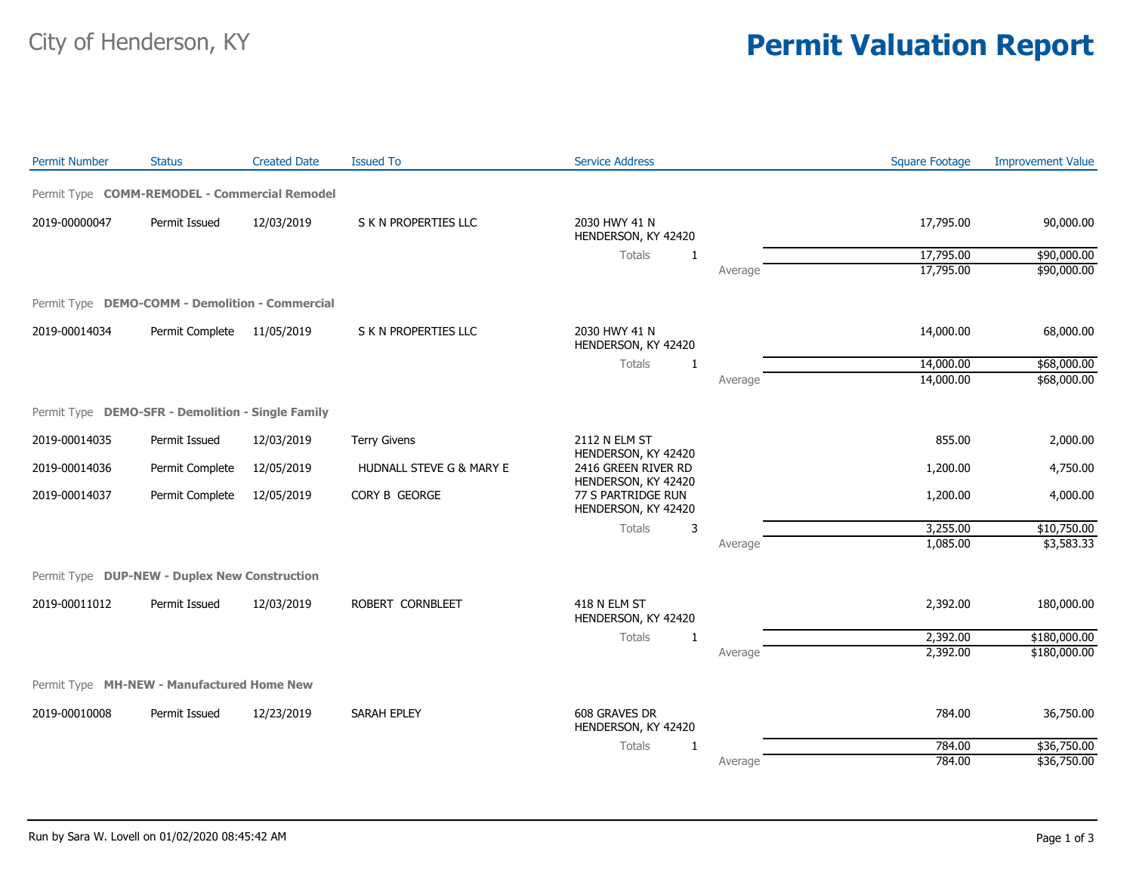## City of Henderson, KY **Permit Valuation Report**

| <b>Permit Number</b>                              | <b>Status</b>   | <b>Created Date</b> | <b>Issued To</b>         | <b>Service Address</b>                     |         | <b>Square Footage</b> | <b>Improvement Value</b> |
|---------------------------------------------------|-----------------|---------------------|--------------------------|--------------------------------------------|---------|-----------------------|--------------------------|
| Permit Type COMM-REMODEL - Commercial Remodel     |                 |                     |                          |                                            |         |                       |                          |
| 2019-00000047                                     | Permit Issued   | 12/03/2019          | S K N PROPERTIES LLC     | 2030 HWY 41 N<br>HENDERSON, KY 42420       |         | 17,795.00             | 90,000.00                |
|                                                   |                 |                     |                          | Totals<br>$\mathbf{1}$                     |         | 17,795.00             | \$90,000.00              |
|                                                   |                 |                     |                          |                                            | Average | 17,795.00             | \$90,000.00              |
| Permit Type DEMO-COMM - Demolition - Commercial   |                 |                     |                          |                                            |         |                       |                          |
| 2019-00014034                                     | Permit Complete | 11/05/2019          | S K N PROPERTIES LLC     | 2030 HWY 41 N<br>HENDERSON, KY 42420       |         | 14,000.00             | 68,000.00                |
|                                                   |                 |                     |                          | <b>Totals</b><br>$\mathbf{1}$              |         | 14,000.00             | \$68,000.00              |
|                                                   |                 |                     |                          |                                            | Average | 14,000.00             | \$68,000.00              |
| Permit Type DEMO-SFR - Demolition - Single Family |                 |                     |                          |                                            |         |                       |                          |
| 2019-00014035                                     | Permit Issued   | 12/03/2019          | <b>Terry Givens</b>      | 2112 N ELM ST<br>HENDERSON, KY 42420       |         | 855.00                | 2,000.00                 |
| 2019-00014036                                     | Permit Complete | 12/05/2019          | HUDNALL STEVE G & MARY E | 2416 GREEN RIVER RD<br>HENDERSON, KY 42420 |         | 1,200.00              | 4,750.00                 |
| 2019-00014037                                     | Permit Complete | 12/05/2019          | CORY B GEORGE            | 77 S PARTRIDGE RUN<br>HENDERSON, KY 42420  |         | 1,200.00              | 4,000.00                 |
|                                                   |                 |                     |                          | Totals<br>3                                |         | 3,255.00              | \$10,750.00              |
|                                                   |                 |                     |                          |                                            | Average | 1,085.00              | \$3,583.33               |
| Permit Type DUP-NEW - Duplex New Construction     |                 |                     |                          |                                            |         |                       |                          |
| 2019-00011012                                     | Permit Issued   | 12/03/2019          | ROBERT CORNBLEET         | 418 N ELM ST<br>HENDERSON, KY 42420        |         | 2,392.00              | 180,000.00               |
|                                                   |                 |                     |                          | Totals<br>$\mathbf{1}$                     |         | 2,392.00              | \$180,000.00             |
|                                                   |                 |                     |                          |                                            | Average | 2,392.00              | \$180,000.00             |
| Permit Type MH-NEW - Manufactured Home New        |                 |                     |                          |                                            |         |                       |                          |
| 2019-00010008                                     | Permit Issued   | 12/23/2019          | SARAH EPLEY              | 608 GRAVES DR<br>HENDERSON, KY 42420       |         | 784.00                | 36,750.00                |
|                                                   |                 |                     |                          | Totals<br>1                                |         | 784.00                | \$36,750.00              |
|                                                   |                 |                     |                          |                                            | Average | 784.00                | \$36,750.00              |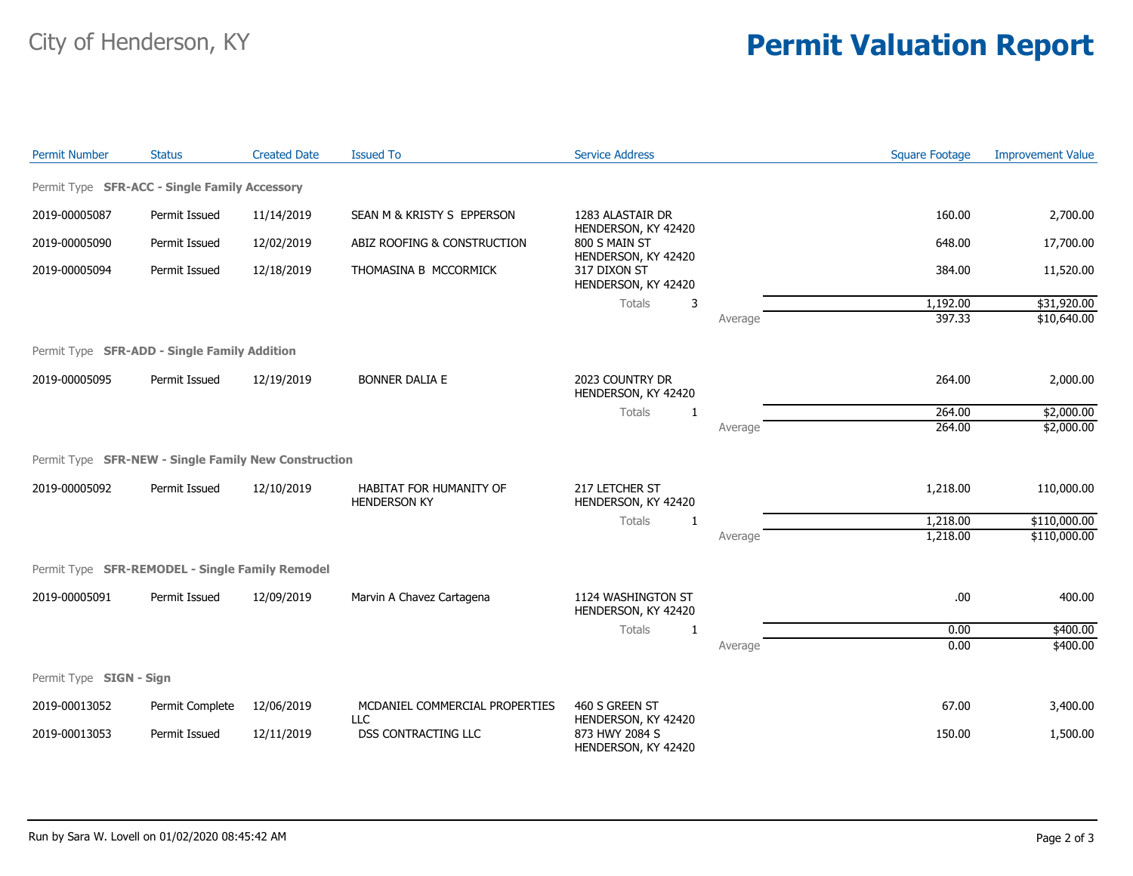## City of Henderson, KY **Permit Valuation Report**

| <b>Permit Number</b>    | <b>Status</b>                                        | <b>Created Date</b> | <b>Issued To</b>                               | <b>Service Address</b>                                      |         | <b>Square Footage</b> | <b>Improvement Value</b> |
|-------------------------|------------------------------------------------------|---------------------|------------------------------------------------|-------------------------------------------------------------|---------|-----------------------|--------------------------|
|                         | Permit Type SFR-ACC - Single Family Accessory        |                     |                                                |                                                             |         |                       |                          |
| 2019-00005087           | Permit Issued                                        | 11/14/2019          | SEAN M & KRISTY S EPPERSON                     | 1283 ALASTAIR DR                                            |         | 160.00                | 2,700.00                 |
| 2019-00005090           | Permit Issued                                        | 12/02/2019          | ABIZ ROOFING & CONSTRUCTION                    | HENDERSON, KY 42420<br>800 S MAIN ST<br>HENDERSON, KY 42420 |         | 648.00                | 17,700.00                |
| 2019-00005094           | Permit Issued                                        | 12/18/2019          | THOMASINA B MCCORMICK                          | 317 DIXON ST<br>HENDERSON, KY 42420                         |         | 384.00                | 11,520.00                |
|                         |                                                      |                     |                                                | <b>Totals</b><br>3                                          |         | 1,192.00              | \$31,920.00              |
|                         |                                                      |                     |                                                |                                                             | Average | 397.33                | \$10,640.00              |
|                         | Permit Type SFR-ADD - Single Family Addition         |                     |                                                |                                                             |         |                       |                          |
| 2019-00005095           | Permit Issued                                        | 12/19/2019          | <b>BONNER DALIA E</b>                          | 2023 COUNTRY DR<br>HENDERSON, KY 42420                      |         | 264.00                | 2,000.00                 |
|                         |                                                      |                     |                                                | Totals<br>1                                                 |         | 264.00                | \$2,000.00               |
|                         |                                                      |                     |                                                |                                                             | Average | 264.00                | \$2,000.00               |
|                         | Permit Type SFR-NEW - Single Family New Construction |                     |                                                |                                                             |         |                       |                          |
| 2019-00005092           | Permit Issued                                        | 12/10/2019          | HABITAT FOR HUMANITY OF<br><b>HENDERSON KY</b> | 217 LETCHER ST<br>HENDERSON, KY 42420<br><b>Totals</b><br>1 |         | 1,218.00              | 110,000.00               |
|                         |                                                      |                     |                                                |                                                             |         | 1,218.00              | \$110,000.00             |
|                         |                                                      |                     |                                                |                                                             | Average | 1,218.00              | \$110,000.00             |
|                         | Permit Type SFR-REMODEL - Single Family Remodel      |                     |                                                |                                                             |         |                       |                          |
| 2019-00005091           | Permit Issued                                        | 12/09/2019          | Marvin A Chavez Cartagena                      | 1124 WASHINGTON ST<br>HENDERSON, KY 42420                   |         | .00                   | 400.00                   |
|                         |                                                      |                     |                                                | Totals<br>1                                                 |         | 0.00                  | \$400.00                 |
|                         |                                                      |                     |                                                |                                                             | Average | 0.00                  | \$400.00                 |
| Permit Type SIGN - Sign |                                                      |                     |                                                |                                                             |         |                       |                          |
| 2019-00013052           | Permit Complete                                      | 12/06/2019          | MCDANIEL COMMERCIAL PROPERTIES<br><b>LLC</b>   | 460 S GREEN ST<br>HENDERSON, KY 42420                       |         | 67.00                 | 3,400.00                 |
| 2019-00013053           | Permit Issued                                        | 12/11/2019          | <b>DSS CONTRACTING LLC</b>                     | 873 HWY 2084 S<br>HENDERSON, KY 42420                       |         | 150.00                | 1,500.00                 |